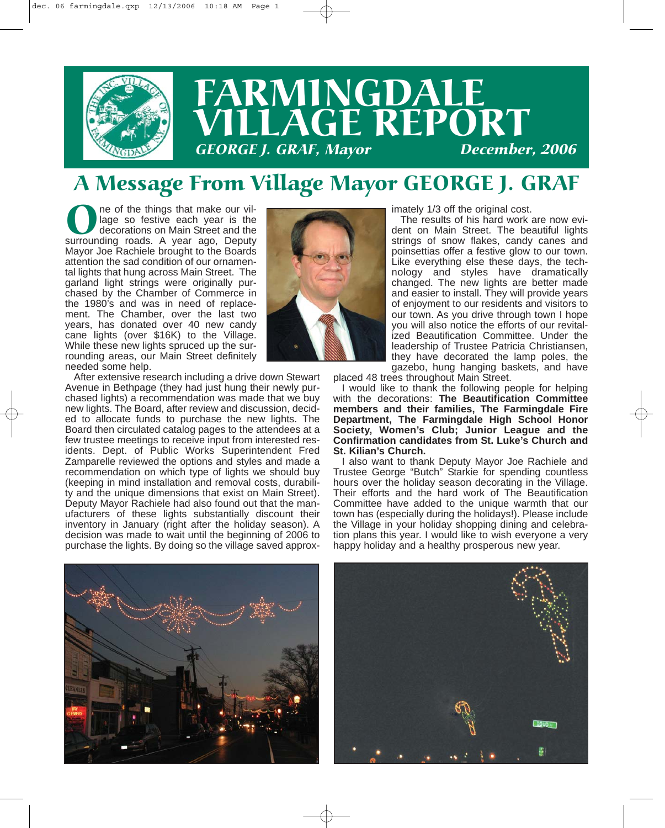

# FARMINGDALE  $\widetilde{\textbf{G}}$ **E**  $\widetilde{\textbf{REPORT}}$ <br>*Navor* December, 2006 **GEORGE J. GRAF, Mayor**

#### A Message From Village Mayor GEORGE J. GRAF

One of the things that make our village so festive each year is the decorations on Main Street and the surrounding roads. A year ago, Deputy lage so festive each year is the decorations on Main Street and the Mayor Joe Rachiele brought to the Boards attention the sad condition of our ornamental lights that hung across Main Street. The garland light strings were originally purchased by the Chamber of Commerce in the 1980's and was in need of replacement. The Chamber, over the last two years, has donated over 40 new candy cane lights (over \$16K) to the Village. While these new lights spruced up the surrounding areas, our Main Street definitely needed some help.



After extensive research including a drive down Stewart Avenue in Bethpage (they had just hung their newly purchased lights) a recommendation was made that we buy new lights. The Board, after review and discussion, decided to allocate funds to purchase the new lights. The Board then circulated catalog pages to the attendees at a few trustee meetings to receive input from interested residents. Dept. of Public Works Superintendent Fred Zamparelle reviewed the options and styles and made a recommendation on which type of lights we should buy (keeping in mind installation and removal costs, durability and the unique dimensions that exist on Main Street). Deputy Mayor Rachiele had also found out that the manufacturers of these lights substantially discount their inventory in January (right after the holiday season). A decision was made to wait until the beginning of 2006 to purchase the lights. By doing so the village saved approximately 1/3 off the original cost.

The results of his hard work are now evident on Main Street. The beautiful lights strings of snow flakes, candy canes and poinsettias offer a festive glow to our town. Like everything else these days, the technology and styles have dramatically changed. The new lights are better made and easier to install. They will provide years of enjoyment to our residents and visitors to our town. As you drive through town I hope you will also notice the efforts of our revitalized Beautification Committee. Under the leadership of Trustee Patricia Christiansen, they have decorated the lamp poles, the gazebo, hung hanging baskets, and have

placed 48 trees throughout Main Street.

I would like to thank the following people for helping with the decorations: **The Beautification Committee members and their families, The Farmingdale Fire Department, The Farmingdale High School Honor Society, Women's Club; Junior League and the Confirmation candidates from St. Luke's Church and St. Kilian's Church.**

I also want to thank Deputy Mayor Joe Rachiele and Trustee George "Butch" Starkie for spending countless hours over the holiday season decorating in the Village. Their efforts and the hard work of The Beautification Committee have added to the unique warmth that our town has (especially during the holidays!). Please include the Village in your holiday shopping dining and celebration plans this year. I would like to wish everyone a very happy holiday and a healthy prosperous new year.



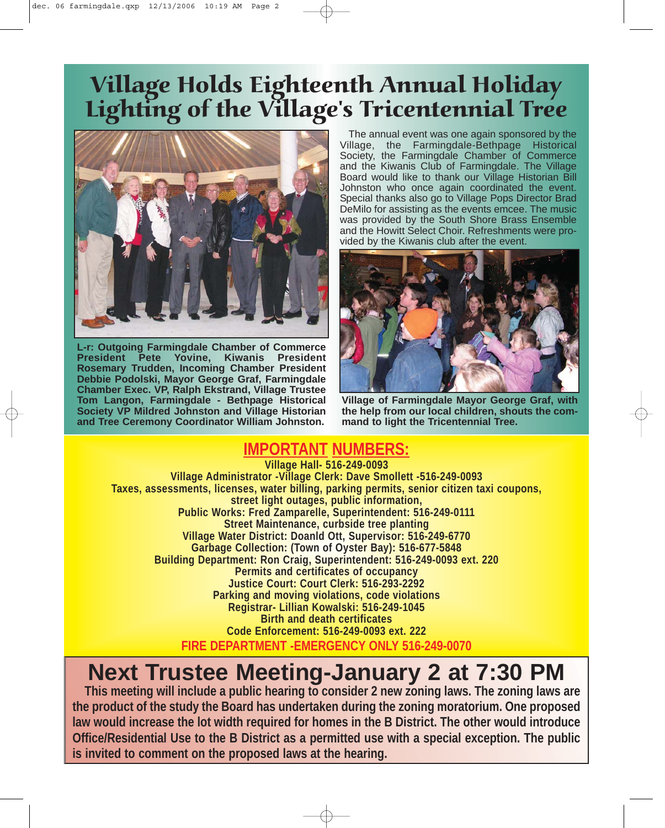## Village Holds Eighteenth Annual Holiday Lighting of the Village's Tricentennial Tree



**L-r: Outgoing Farmingdale Chamber of Commerce President Pete Yovine, Kiwanis President Rosemary Trudden, Incoming Chamber President Debbie Podolski, Mayor George Graf, Farmingdale Chamber Exec. VP, Ralph Ekstrand, Village Trustee Tom Langon, Farmingdale - Bethpage Historical Society VP Mildred Johnston and Village Historian and Tree Ceremony Coordinator William Johnston.**

The annual event was one again sponsored by the Village, the Farmingdale-Bethpage Historical Society, the Farmingdale Chamber of Commerce and the Kiwanis Club of Farmingdale. The Village Board would like to thank our Village Historian Bill Johnston who once again coordinated the event. Special thanks also go to Village Pops Director Brad DeMilo for assisting as the events emcee. The music was provided by the South Shore Brass Ensemble and the Howitt Select Choir. Refreshments were provided by the Kiwanis club after the event.



**Village of Farmingdale Mayor George Graf, with the help from our local children, shouts the command to light the Tricentennial Tree.**

#### **IMPORTANT NUMBERS:**

**Village Hall- 516-249-0093 Village Administrator -Village Clerk: Dave Smollett -516-249-0093 Taxes, assessments, licenses, water billing, parking permits, senior citizen taxi coupons, street light outages, public information, Public Works: Fred Zamparelle, Superintendent: 516-249-0111 Street Maintenance, curbside tree planting Village Water District: Doanld Ott, Supervisor: 516-249-6770 Garbage Collection: (Town of Oyster Bay): 516-677-5848 Building Department: Ron Craig, Superintendent: 516-249-0093 ext. 220 Permits and certificates of occupancy Justice Court: Court Clerk: 516-293-2292 Parking and moving violations, code violations Registrar- Lillian Kowalski: 516-249-1045 Birth and death certificates Code Enforcement: 516-249-0093 ext. 222 FIRE DEPARTMENT -EMERGENCY ONLY 516-249-0070**

### **Next Trustee Meeting-January 2 at 7:30 PM**

**This meeting will include a public hearing to consider 2 new zoning laws. The zoning laws are the product of the study the Board has undertaken during the zoning moratorium. One proposed law would increase the lot width required for homes in the B District. The other would introduce Office/Residential Use to the B District as a permitted use with a special exception. The public is invited to comment on the proposed laws at the hearing.**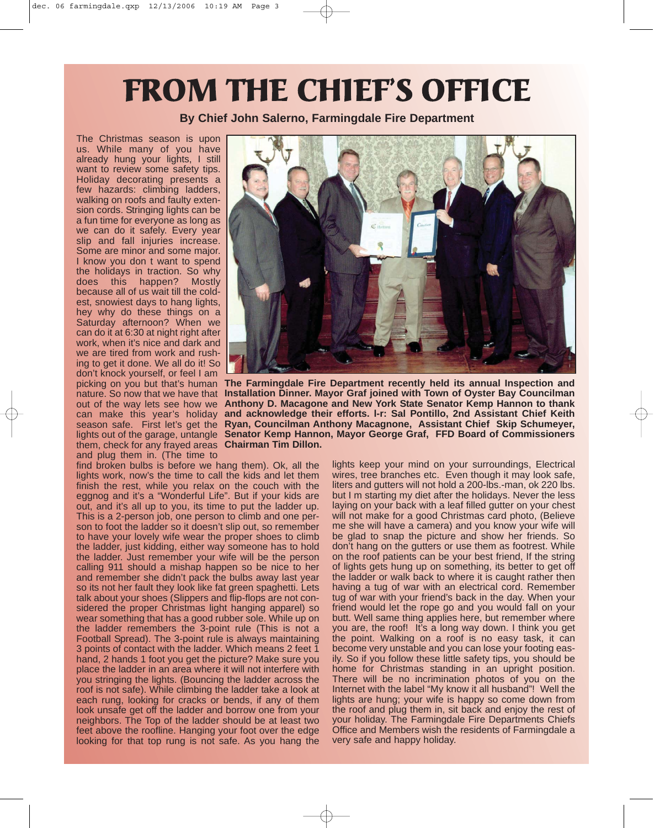# FROM THE CHIEF'S OFFICE

**By Chief John Salerno, Farmingdale Fire Department**

The Christmas season is upon us. While many of you have already hung your lights, I still want to review some safety tips. Holiday decorating presents a few hazards: climbing ladders, walking on roofs and faulty extension cords. Stringing lights can be a fun time for everyone as long as we can do it safely. Every year slip and fall injuries increase. Some are minor and some major. I know you don t want to spend the holidays in traction. So why does this happen? Mostly because all of us wait till the coldest, snowiest days to hang lights, hey why do these things on a Saturday afternoon? When we can do it at 6:30 at night right after work, when it's nice and dark and we are tired from work and rushing to get it done. We all do it! So don't knock yourself, or feel I am can make this year's holiday season safe. First let's get the them, check for any frayed areas **Chairman Tim Dillon.** and plug them in. (The time to

find broken bulbs is before we hang them). Ok, all the lights work, now's the time to call the kids and let them finish the rest, while you relax on the couch with the eggnog and it's a "Wonderful Life". But if your kids are out, and it's all up to you, its time to put the ladder up. This is a 2-person job, one person to climb and one person to foot the ladder so it doesn't slip out, so remember to have your lovely wife wear the proper shoes to climb the ladder, just kidding, either way someone has to hold the ladder. Just remember your wife will be the person calling 911 should a mishap happen so be nice to her and remember she didn't pack the bulbs away last year so its not her fault they look like fat green spaghetti. Lets talk about your shoes (Slippers and flip-flops are not considered the proper Christmas light hanging apparel) so wear something that has a good rubber sole. While up on the ladder remembers the 3-point rule (This is not a Football Spread). The 3-point rule is always maintaining 3 points of contact with the ladder. Which means 2 feet 1 hand, 2 hands 1 foot you get the picture? Make sure you place the ladder in an area where it will not interfere with you stringing the lights. (Bouncing the ladder across the roof is not safe). While climbing the ladder take a look at each rung, looking for cracks or bends, if any of them look unsafe get off the ladder and borrow one from your neighbors. The Top of the ladder should be at least two feet above the roofline. Hanging your foot over the edge looking for that top rung is not safe. As you hang the



picking on you but that's human **The Farmingdale Fire Department recently held its annual Inspection and** nature. So now that we have that **Installation Dinner. Mayor Graf joined with Town of Oyster Bay Councilman** out of the way lets see how we **Anthony D. Macagone and New York State Senator Kemp Hannon to thank** lights out of the garage, untangle Senator Kemp Hannon, Mayor George Graf, FFD Board of Commissioners **and acknowledge their efforts. l-r: Sal Pontillo, 2nd Assistant Chief Keith Ryan, Councilman Anthony Macagnone, Assistant Chief Skip Schumeyer,**

lights keep your mind on your surroundings, Electrical wires, tree branches etc. Even though it may look safe, liters and gutters will not hold a 200-lbs.-man, ok 220 lbs. but I m starting my diet after the holidays. Never the less laying on your back with a leaf filled gutter on your chest will not make for a good Christmas card photo, (Believe me she will have a camera) and you know your wife will be glad to snap the picture and show her friends. So don't hang on the gutters or use them as footrest. While on the roof patients can be your best friend, If the string of lights gets hung up on something, its better to get off the ladder or walk back to where it is caught rather then having a tug of war with an electrical cord. Remember tug of war with your friend's back in the day. When your friend would let the rope go and you would fall on your butt. Well same thing applies here, but remember where you are, the roof! It's a long way down. I think you get the point. Walking on a roof is no easy task, it can become very unstable and you can lose your footing easily. So if you follow these little safety tips, you should be home for Christmas standing in an upright position. There will be no incrimination photos of you on the Internet with the label "My know it all husband"! Well the lights are hung; your wife is happy so come down from the roof and plug them in, sit back and enjoy the rest of your holiday. The Farmingdale Fire Departments Chiefs Office and Members wish the residents of Farmingdale a very safe and happy holiday.